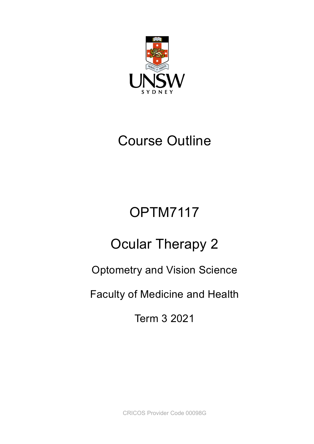

## Course Outline

# OPTM7117

# Ocular Therapy 2

## Optometry and Vision Science

## Faculty of Medicine and Health

Term 3 2021

CRICOS Provider Code 00098G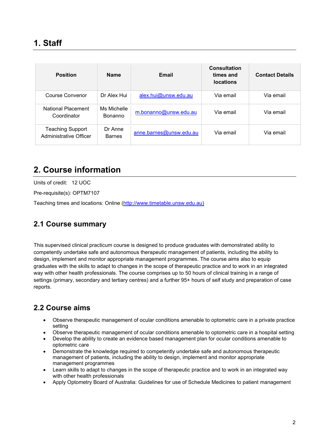| <b>Position</b>                            | <b>Name</b>                   | Email                   | <b>Consultation</b><br>times and<br><b>locations</b> | <b>Contact Details</b> |
|--------------------------------------------|-------------------------------|-------------------------|------------------------------------------------------|------------------------|
| Course Convenor                            | Dr Alex Hui                   | alex.hui@unsw.edu.au    | Via email                                            | Via email              |
| National Placement<br>Coordinator          | Ms Michelle<br><b>Bonanno</b> | m.bonanno@unsw.edu.au   | Via email                                            | Via email              |
| Teaching Support<br>Administrative Officer | Dr Anne<br><b>Barnes</b>      | anne.barnes@unsw.edu.au | Via email                                            | Via email              |

## **2. Course information**

Units of credit: 12 UOC

Pre-requisite(s): OPTM7107

Teaching times and locations: Online [\(http://www.timetable.unsw.edu.au\)](http://www.timetable.unsw.edu.au/)

#### **2.1 Course summary**

This supervised clinical practicum course is designed to produce graduates with demonstrated ability to competently undertake safe and autonomous therapeutic management of patients, including the ability to design, implement and monitor appropriate management programmes. The course aims also to equip graduates with the skills to adapt to changes in the scope of therapeutic practice and to work in an integrated way with other health professionals. The course comprises up to 50 hours of clinical training in a range of settings (primary, secondary and tertiary centres) and a further 95+ hours of self study and preparation of case reports.

#### **2.2 Course aims**

- Observe therapeutic management of ocular conditions amenable to optometric care in a private practice setting
- Observe therapeutic management of ocular conditions amenable to optometric care in a hospital setting
- Develop the ability to create an evidence based management plan for ocular conditions amenable to optometric care
- Demonstrate the knowledge required to competently undertake safe and autonomous therapeutic management of patients, including the ability to design, implement and monitor appropriate management programmes
- Learn skills to adapt to changes in the scope of therapeutic practice and to work in an integrated way with other health professionals
- Apply Optometry Board of Australia: Guidelines for use of Schedule Medicines to patient management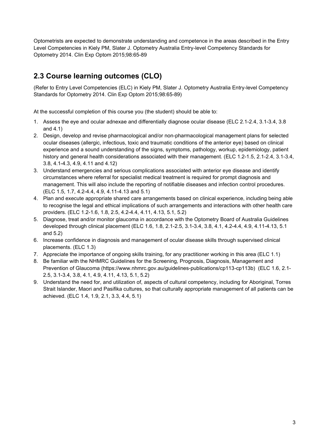Optometrists are expected to demonstrate understanding and competence in the areas described in the Entry Level Competencies in Kiely PM, Slater J. Optometry Australia Entry-level Competency Standards for Optometry 2014. Clin Exp Optom 2015;98:65-89

#### **2.3 Course learning outcomes (CLO)**

(Refer to Entry Level Competencies (ELC) in Kiely PM, Slater J. Optometry Australia Entry-level Competency Standards for Optometry 2014. Clin Exp Optom 2015;98:65-89)

At the successful completion of this course you (the student) should be able to:

- 1. Assess the eye and ocular adnexae and differentially diagnose ocular disease (ELC 2.1-2.4, 3.1-3.4, 3.8 and 4.1)
- 2. Design, develop and revise pharmacological and/or non-pharmacological management plans for selected ocular diseases (allergic, infectious, toxic and traumatic conditions of the anterior eye) based on clinical experience and a sound understanding of the signs, symptoms, pathology, workup, epidemiology, patient history and general health considerations associated with their management. (ELC 1.2-1.5, 2.1-2.4, 3.1-3.4, 3.8, 4.1-4.3, 4.9, 4.11 and 4.12)
- 3. Understand emergencies and serious complications associated with anterior eye disease and identify circumstances where referral for specialist medical treatment is required for prompt diagnosis and management. This will also include the reporting of notifiable diseases and infection control procedures. (ELC 1.5, 1.7, 4.2-4.4, 4.9, 4.11-4.13 and 5.1)
- 4. Plan and execute appropriate shared care arrangements based on clinical experience, including being able to recognise the legal and ethical implications of such arrangements and interactions with other health care providers. (ELC 1.2-1.6, 1.8, 2.5, 4.2-4.4, 4.11, 4.13, 5.1, 5.2)
- 5. Diagnose, treat and/or monitor glaucoma in accordance with the Optometry Board of Australia Guidelines developed through clinical placement (ELC 1.6, 1.8, 2.1-2.5, 3.1-3.4, 3.8, 4.1, 4.2-4.4, 4.9, 4.11-4.13, 5.1 and 5.2)
- 6. Increase confidence in diagnosis and management of ocular disease skills through supervised clinical placements. (ELC 1.3)
- 7. Appreciate the importance of ongoing skills training, for any practitioner working in this area (ELC 1.1)
- 8. Be familiar with the NHMRC Guidelines for the Screening, Prognosis, Diagnosis, Management and Prevention of Glaucoma (https://www.nhmrc.gov.au/guidelines-publications/cp113-cp113b) (ELC 1.6, 2.1- 2.5, 3.1-3.4, 3.8, 4.1, 4.9, 4.11, 4.13, 5.1, 5.2)
- 9. Understand the need for, and utilization of, aspects of cultural competency, including for Aboriginal, Torres Strait Islander, Maori and Pasifika cultures, so that culturally appropriate management of all patients can be achieved. (ELC 1.4, 1.9, 2.1, 3.3, 4.4, 5.1)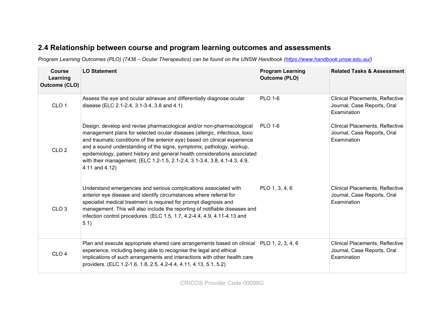#### **2.4 Relationship between course and program learning outcomes and assessments**

*Program Learning Outcomes (PLO) (7436 – Ocular Therapeutics) can be found on the UNSW Handbook [\(https://www.handbook.unsw.edu.au/\)](https://www.handbook.unsw.edu.au/)* 

| <b>Course</b><br>Learning<br>Outcome (CLO) | <b>LO Statement</b>                                                                                                                                                                                                                                                                                                                                                                                                                                                                    | <b>Program Learning</b><br><b>Outcome (PLO)</b> | <b>Related Tasks &amp; Assessment</b>                                                |
|--------------------------------------------|----------------------------------------------------------------------------------------------------------------------------------------------------------------------------------------------------------------------------------------------------------------------------------------------------------------------------------------------------------------------------------------------------------------------------------------------------------------------------------------|-------------------------------------------------|--------------------------------------------------------------------------------------|
| CLO <sub>1</sub>                           | Assess the eye and ocular adnexae and differentially diagnose ocular<br>disease (ELC 2.1-2.4, 3.1-3.4, 3.8 and 4.1)                                                                                                                                                                                                                                                                                                                                                                    | <b>PLO 1-6</b>                                  | Clinical Placements, Reflective<br>Journal, Case Reports, Oral<br>Examination        |
| CLO <sub>2</sub>                           | Design, develop and revise pharmacological and/or non-pharmacological<br>management plans for selected ocular diseases (allergic, infectious, toxic<br>and traumatic conditions of the anterior eye) based on clinical experience<br>and a sound understanding of the signs, symptoms, pathology, workup,<br>epidemiology, patient history and general health considerations associated<br>with their management. (ELC 1.2-1.5, 2.1-2.4, 3.1-3.4, 3.8, 4.1-4.3, 4.9,<br>4.11 and 4.12) | <b>PLO 1-6</b>                                  | <b>Clinical Placements, Reflective</b><br>Journal, Case Reports, Oral<br>Examination |
| CLO <sub>3</sub>                           | Understand emergencies and serious complications associated with<br>anterior eye disease and identify circumstances where referral for<br>specialist medical treatment is required for prompt diagnosis and<br>management. This will also include the reporting of notifiable diseases and<br>infection control procedures. (ELC 1.5, 1.7, 4.2-4.4, 4.9, 4.11-4.13 and<br>5.1)                                                                                                         | PLO 1, 3, 4, 6                                  | <b>Clinical Placements, Reflective</b><br>Journal, Case Reports, Oral<br>Examination |
| CLO <sub>4</sub>                           | Plan and execute appropriate shared care arrangements based on clinical PLO 1, 2, 3, 4, 6<br>experience, including being able to recognise the legal and ethical<br>implications of such arrangements and interactions with other health care<br>providers. (ELC 1.2-1.6, 1.8, 2.5, 4.2-4.4, 4.11, 4.13, 5.1, 5.2)                                                                                                                                                                     |                                                 | <b>Clinical Placements, Reflective</b><br>Journal, Case Reports, Oral<br>Examination |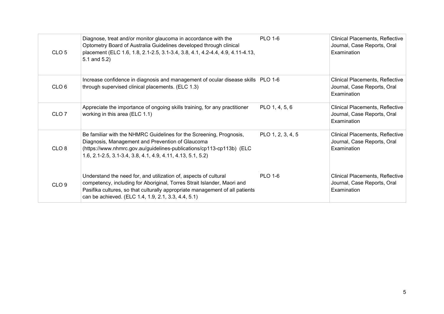| CLO <sub>5</sub> | Diagnose, treat and/or monitor glaucoma in accordance with the<br>Optometry Board of Australia Guidelines developed through clinical<br>placement (ELC 1.6, 1.8, 2.1-2.5, 3.1-3.4, 3.8, 4.1, 4.2-4.4, 4.9, 4.11-4.13,<br>5.1 and $5.2$ )                                           | <b>PLO 1-6</b>    | Clinical Placements, Reflective<br>Journal, Case Reports, Oral<br>Examination        |
|------------------|------------------------------------------------------------------------------------------------------------------------------------------------------------------------------------------------------------------------------------------------------------------------------------|-------------------|--------------------------------------------------------------------------------------|
| CLO <sub>6</sub> | Increase confidence in diagnosis and management of ocular disease skills PLO 1-6<br>through supervised clinical placements. (ELC 1.3)                                                                                                                                              |                   | Clinical Placements, Reflective<br>Journal, Case Reports, Oral<br>Examination        |
| CLO <sub>7</sub> | Appreciate the importance of ongoing skills training, for any practitioner<br>working in this area (ELC 1.1)                                                                                                                                                                       | PLO 1, 4, 5, 6    | Clinical Placements, Reflective<br>Journal, Case Reports, Oral<br>Examination        |
| CLO <sub>8</sub> | Be familiar with the NHMRC Guidelines for the Screening, Prognosis,<br>Diagnosis, Management and Prevention of Glaucoma<br>(https://www.nhmrc.gov.au/guidelines-publications/cp113-cp113b) (ELC<br>1.6, 2.1-2.5, 3.1-3.4, 3.8, 4.1, 4.9, 4.11, 4.13, 5.1, 5.2)                     | PLO 1, 2, 3, 4, 5 | Clinical Placements, Reflective<br>Journal, Case Reports, Oral<br>Examination        |
| CLO <sub>9</sub> | Understand the need for, and utilization of, aspects of cultural<br>competency, including for Aboriginal, Torres Strait Islander, Maori and<br>Pasifika cultures, so that culturally appropriate management of all patients<br>can be achieved. (ELC 1.4, 1.9, 2.1, 3.3, 4.4, 5.1) | <b>PLO 1-6</b>    | <b>Clinical Placements, Reflective</b><br>Journal, Case Reports, Oral<br>Examination |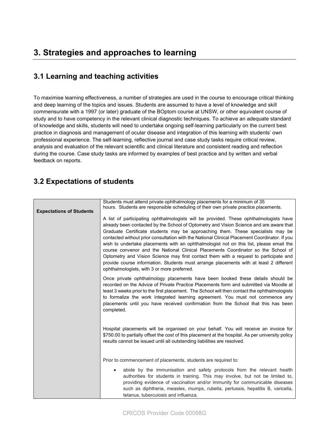#### **3.1 Learning and teaching activities**

To maximise learning effectiveness, a number of strategies are used in the course to encourage critical thinking and deep learning of the topics and issues. Students are assumed to have a level of knowledge and skill commensurate with a 1997 (or later) graduate of the BOptom course at UNSW, or other equivalent course of study and to have competency in the relevant clinical diagnostic techniques. To achieve an adequate standard of knowledge and skills, students will need to undertake ongoing self-learning particularly on the current best practice in diagnosis and management of ocular disease and integration of this learning with students' own professional experience. The self-learning, reflective journal and case study tasks require critical review, analysis and evaluation of the relevant scientific and clinical literature and consistent reading and reflection during the course. Case study tasks are informed by examples of best practice and by written and verbal feedback on reports.

#### **3.2 Expectations of students**

| <b>Expectations of Students</b> | Students must attend private ophthalmology placements for a minimum of 35<br>hours. Students are responsible scheduling of their own private practice placements.<br>A list of participating ophthalmologists will be provided. These ophthalmologists have<br>already been contacted by the School of Optometry and Vision Science and are aware that<br>Graduate Certificate students may be approaching them. These specialists may be<br>contacted without prior consultation with the National Clinical Placement Coordinator. If you<br>wish to undertake placements with an ophthalmologist not on this list, please email the<br>course convenor and the National Clinical Placements Coordinator so the School of<br>Optometry and Vision Science may first contact them with a request to participate and<br>provide course information. Students must arrange placements with at least 2 different<br>ophthalmologists, with 3 or more preferred. |  |  |
|---------------------------------|--------------------------------------------------------------------------------------------------------------------------------------------------------------------------------------------------------------------------------------------------------------------------------------------------------------------------------------------------------------------------------------------------------------------------------------------------------------------------------------------------------------------------------------------------------------------------------------------------------------------------------------------------------------------------------------------------------------------------------------------------------------------------------------------------------------------------------------------------------------------------------------------------------------------------------------------------------------|--|--|
|                                 | Once private ophthalmology placements have been booked these details should be<br>recorded on the Advice of Private Practice Placements form and submitted via Moodle at<br>least 3 weeks prior to the first placement. The School will then contact the ophthalmologists<br>to formalize the work integrated learning agreement. You must not commence any<br>placements until you have received confirmation from the School that this has been<br>completed.                                                                                                                                                                                                                                                                                                                                                                                                                                                                                              |  |  |
|                                 | Hospital placements will be organised on your behalf. You will receive an invoice for<br>\$750.00 to partially offset the cost of this placement at the hospital. As per university policy<br>results cannot be issued until all outstanding liabilities are resolved.                                                                                                                                                                                                                                                                                                                                                                                                                                                                                                                                                                                                                                                                                       |  |  |
|                                 | Prior to commencement of placements, students are required to:                                                                                                                                                                                                                                                                                                                                                                                                                                                                                                                                                                                                                                                                                                                                                                                                                                                                                               |  |  |
|                                 | abide by the immunisation and safety protocols from the relevant health<br>authorities for students in training. This may involve, but not be limited to,<br>providing evidence of vaccination and/or immunity for communicable diseases<br>such as diphtheria, measles, mumps, rubella, pertussis, hepatitis B, varicella,<br>tetanus, tuberculosis and influenza.                                                                                                                                                                                                                                                                                                                                                                                                                                                                                                                                                                                          |  |  |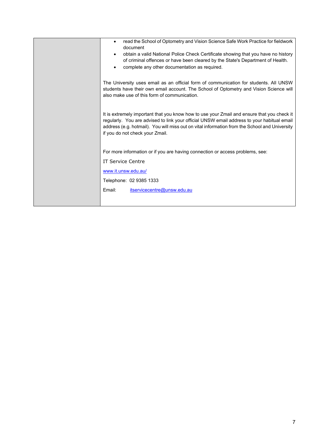| read the School of Optometry and Vision Science Safe Work Practice for fieldwork<br>document<br>obtain a valid National Police Check Certificate showing that you have no history<br>$\bullet$<br>of criminal offences or have been cleared by the State's Department of Health.<br>complete any other documentation as required. |
|-----------------------------------------------------------------------------------------------------------------------------------------------------------------------------------------------------------------------------------------------------------------------------------------------------------------------------------|
| The University uses email as an official form of communication for students. All UNSW<br>students have their own email account. The School of Optometry and Vision Science will<br>also make use of this form of communication.                                                                                                   |
| It is extremely important that you know how to use your Zmail and ensure that you check it<br>regularly. You are advised to link your official UNSW email address to your habitual email<br>address (e.g. hotmail). You will miss out on vital information from the School and University<br>if you do not check your Zmail.      |
| For more information or if you are having connection or access problems, see:                                                                                                                                                                                                                                                     |
| <b>IT Service Centre</b>                                                                                                                                                                                                                                                                                                          |
| www.it.unsw.edu.au/                                                                                                                                                                                                                                                                                                               |
| Telephone: 02 9385 1333                                                                                                                                                                                                                                                                                                           |
| Email:<br>itservicecentre@unsw.edu.au                                                                                                                                                                                                                                                                                             |
|                                                                                                                                                                                                                                                                                                                                   |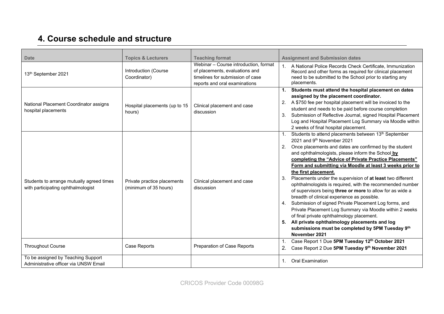## **4. Course schedule and structure**

| <b>Date</b>                                                                     | <b>Topics &amp; Lecturers</b>                        | <b>Teaching format</b>                                                                                                                       | <b>Assignment and Submission dates</b>                                                                                                                                                                                                                                                                                                                                                                                                                                                                                                                                                                                                                                                                                                                                                                                                                                                                        |
|---------------------------------------------------------------------------------|------------------------------------------------------|----------------------------------------------------------------------------------------------------------------------------------------------|---------------------------------------------------------------------------------------------------------------------------------------------------------------------------------------------------------------------------------------------------------------------------------------------------------------------------------------------------------------------------------------------------------------------------------------------------------------------------------------------------------------------------------------------------------------------------------------------------------------------------------------------------------------------------------------------------------------------------------------------------------------------------------------------------------------------------------------------------------------------------------------------------------------|
| 13th September 2021                                                             | Introduction (Course<br>Coordinator)                 | Webinar - Course introduction, format<br>of placements, evaluations and<br>timelines for submission of case<br>reports and oral examinations | 1. A National Police Records Check Certificate, Immunization<br>Record and other forms as required for clinical placement<br>need to be submitted to the School prior to starting any<br>placements.                                                                                                                                                                                                                                                                                                                                                                                                                                                                                                                                                                                                                                                                                                          |
| National Placement Coordinator assigns<br>hospital placements                   | Hospital placements (up to 15<br>hours)              | Clinical placement and case<br>discussion                                                                                                    | 1. Students must attend the hospital placement on dates<br>assigned by the placement coordinator.<br>2. A \$750 fee per hospital placement will be invoiced to the<br>student and needs to be paid before course completion<br>Submission of Reflective Journal, signed Hospital Placement<br>3.<br>Log and Hospital Placement Log Summary via Moodle within<br>2 weeks of final hospital placement.                                                                                                                                                                                                                                                                                                                                                                                                                                                                                                          |
| Students to arrange mutually agreed times<br>with participating ophthalmologist | Private practice placements<br>(minimum of 35 hours) | Clinical placement and case<br>discussion                                                                                                    | Students to attend placements between 13 <sup>th</sup> September<br>1.<br>2021 and 9th November 2021<br>2. Once placements and dates are confirmed by the student<br>and ophthalmologists, please inform the School by<br>completing the "Advice of Private Practice Placements"<br>Form and submitting via Moodle at least 3 weeks prior to<br>the first placement.<br>Placements under the supervision of at least two different<br>3.<br>ophthalmologists is required, with the recommended number<br>of supervisors being three or more to allow for as wide a<br>breadth of clinical experience as possible.<br>4. Submission of signed Private Placement Log forms, and<br>Private Placement Log Summary via Moodle within 2 weeks<br>of final private ophthalmology placement.<br>5. All private ophthalmology placements and log<br>submissions must be completed by 5PM Tuesday 9th<br>November 2021 |
| <b>Throughout Course</b>                                                        | Case Reports                                         | Preparation of Case Reports                                                                                                                  | Case Report 1 Due 5PM Tuesday 12th October 2021<br>1.<br>2.<br>Case Report 2 Due 5PM Tuesday 9th November 2021                                                                                                                                                                                                                                                                                                                                                                                                                                                                                                                                                                                                                                                                                                                                                                                                |
| To be assigned by Teaching Support<br>Administrative officer via UNSW Email     |                                                      |                                                                                                                                              | <b>Oral Examination</b><br>1.                                                                                                                                                                                                                                                                                                                                                                                                                                                                                                                                                                                                                                                                                                                                                                                                                                                                                 |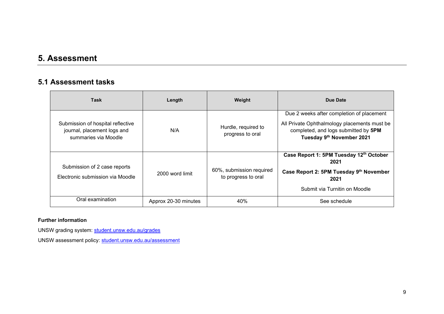### **5. Assessment**

#### **5.1 Assessment tasks**

| <b>Task</b>                                                                              | Length               | Weight                                          | Due Date                                                                                                                                                       |
|------------------------------------------------------------------------------------------|----------------------|-------------------------------------------------|----------------------------------------------------------------------------------------------------------------------------------------------------------------|
| Submission of hospital reflective<br>journal, placement logs and<br>summaries via Moodle | N/A                  | Hurdle, required to<br>progress to oral         | Due 2 weeks after completion of placement<br>All Private Ophthalmology placements must be<br>completed, and logs submitted by 5PM<br>Tuesday 9th November 2021 |
| Submission of 2 case reports<br>Electronic submission via Moodle                         | 2000 word limit      | 60%, submission required<br>to progress to oral | Case Report 1: 5PM Tuesday 12th October<br>2021<br>Case Report 2: 5PM Tuesday 9th November<br>2021<br>Submit via Turnitin on Moodle                            |
| Oral examination                                                                         | Approx 20-30 minutes | 40%                                             | See schedule                                                                                                                                                   |

#### **Further information**

UNSW grading system: [student.unsw.edu.au/grades](https://student.unsw.edu.au/grades)

UNSW assessment policy: [student.unsw.edu.au/assessment](https://student.unsw.edu.au/assessment)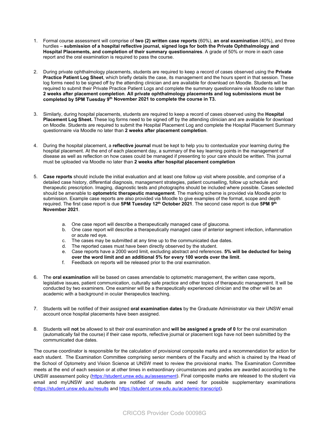- 1. Formal course assessment will comprise of **two (2) written case reports** (60%), **an oral examination** (40%), and three hurdles – **submission of a hospital reflective journal, signed logs for both the Private Ophthalmology and Hospital Placements, and completion of their summary questionnaires**. A grade of 50% or more in each case report and the oral examination is required to pass the course.
- 2. During private ophthalmology placements, students are required to keep a record of cases observed using the **Private Practice Patient Log Sheet**, which briefly details the case, its management and the hours spent in that session. These log forms need to be signed off by the attending clinician and are available for download on Moodle. Students will be required to submit their Private Practice Patient Logs and complete the summary questionnaire via Moodle no later than **2 weeks after placement completion**. **All private ophthalmology placements and log submissions must be completed by 5PM Tuesday 9th November 2021 to complete the course in T3.**
- 3. Similarly, during hospital placements, students are required to keep a record of cases observed using the **Hospital Placement Log Sheet.** These log forms need to be signed off by the attending clinician and are available for download on Moodle. Students are required to submit the Hospital Placement Log and complete the Hospital Placement Summary questionnaire via Moodle no later than **2 weeks after placement completion**.
- 4. During the hospital placement, a **reflective journal** must be kept to help you to contextualize your learning during the hospital placement. At the end of each placement day, a summary of the key learning points in the management of disease as well as reflection on how cases could be managed if presenting to your care should be written. This journal must be uploaded via Moodle no later than **2 weeks after hospital placement completion**
- 5. **Case reports** should include the initial evaluation and at least one follow up visit where possible, and comprise of a detailed case history, differential diagnosis, management strategies, patient counselling, follow up schedule and therapeutic prescription. Imaging, diagnostic tests and photographs should be included where possible. Cases selected should be amenable to **optometric therapeutic management**. The marking scheme is provided via Moodle prior to submission. Example case reports are also provided via Moodle to give examples of the format, scope and depth required. The first case report is due **5PM Tuesday 12th October 2021**. The second case report is due **5PM 9th November 2021**.
	- a. One case report will describe a therapeutically managed case of glaucoma.
	- b. One case report will describe a therapeutically managed case of anterior segment infection, inflammation or acute red eye.
	- c. The cases may be submitted at any time up to the communicated due dates.
	- d. The reported cases must have been directly observed by the student.
	- e. Case reports have a 2000 word limit, excluding abstract and references. **5% will be deducted for being over the word limit and an additional 5% for every 100 words over the limit**.
	- f. Feedback on reports will be released prior to the oral examination.
- 6. The **oral examination** will be based on cases amendable to optometric management, the written case reports, legislative issues, patient communication, culturally safe practice and other topics of therapeutic management. It will be conducted by two examiners. One examiner will be a therapeutically experienced clinician and the other will be an academic with a background in ocular therapeutics teaching.
- 7. Students will be notified of their assigned **oral examination dates** by the Graduate Administrator via their UNSW email account once hospital placements have been assigned.
- 8. Students will **not** be allowed to sit their oral examination and **will be assigned a grade of 0** for the oral examination (automatically fail the course) if their case reports, reflective journal or placement logs have not been submitted by the communicated due dates.

The course coordinator is responsible for the calculation of provisional composite marks and a recommendation for action for each student. The Examination Committee comprising senior members of the Faculty and which is chaired by the Head of the School of Optometry and Vision Science at UNSW meet to review the provisional marks. The Examination Committee meets at the end of each session or at other times in extraordinary circumstances and grades are awarded according to the UNSW assessment policy [\(https://student.unsw.edu.au/assessment\)](https://student.unsw.edu.au/assessment). Final composite marks are released to the student via email and myUNSW and students are notified of results and need for possible supplementary examinations [\(https://student.unsw.edu.au/results](https://student.unsw.edu.au/results) and [https://student.unsw.edu.au/academic-transcript\)](https://student.unsw.edu.au/academic-transcript).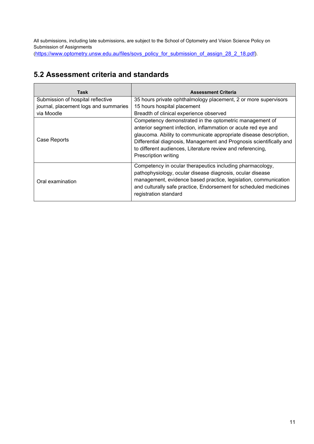All submissions, including late submissions, are subject to the School of Optometry and Vision Science Policy on Submission of Assignments

[\(https://www.optometry.unsw.edu.au/files/sovs\\_policy\\_for\\_submission\\_of\\_assign\\_28\\_2\\_18.pdf\)](https://www.optometry.unsw.edu.au/files/sovs_policy_for_submission_of_assign_28_2_18.pdf).

#### **5.2 Assessment criteria and standards**

| Task                                  | <b>Assessment Criteria</b>                                                                                                                                                                                                                                                                                                                                        |
|---------------------------------------|-------------------------------------------------------------------------------------------------------------------------------------------------------------------------------------------------------------------------------------------------------------------------------------------------------------------------------------------------------------------|
| Submission of hospital reflective     | 35 hours private ophthalmology placement, 2 or more supervisors                                                                                                                                                                                                                                                                                                   |
| journal, placement logs and summaries | 15 hours hospital placement                                                                                                                                                                                                                                                                                                                                       |
| via Moodle                            | Breadth of clinical experience observed                                                                                                                                                                                                                                                                                                                           |
| Case Reports                          | Competency demonstrated in the optometric management of<br>anterior segment infection, inflammation or acute red eye and<br>glaucoma. Ability to communicate appropriate disease description,<br>Differential diagnosis, Management and Prognosis scientifically and<br>to different audiences, Literature review and referencing,<br><b>Prescription writing</b> |
| Oral examination                      | Competency in ocular therapeutics including pharmacology,<br>pathophysiology, ocular disease diagnosis, ocular disease<br>management, evidence based practice, legislation, communication<br>and culturally safe practice, Endorsement for scheduled medicines<br>registration standard                                                                           |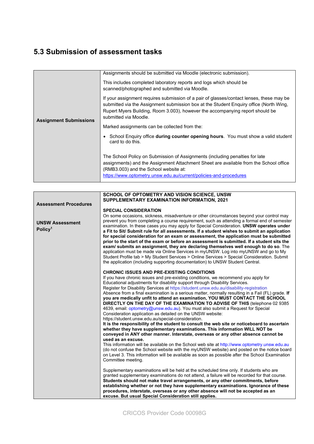### **5.3 Submission of assessment tasks**

| <b>Assignment Submissions</b> | Assignments should be submitted via Moodle (electronic submission).                                                                                                                                                                                                                          |  |
|-------------------------------|----------------------------------------------------------------------------------------------------------------------------------------------------------------------------------------------------------------------------------------------------------------------------------------------|--|
|                               | This includes completed laboratory reports and logs which should be<br>scanned/photographed and submitted via Moodle.                                                                                                                                                                        |  |
|                               | If your assignment requires submission of a pair of glasses/contact lenses, these may be<br>submitted via the Assignment submission box at the Student Enquiry office (North Wing,<br>Rupert Myers Building, Room 3.003), however the accompanying report should be<br>submitted via Moodle. |  |
|                               | Marked assignments can be collected from the:                                                                                                                                                                                                                                                |  |
|                               | School Enquiry office <b>during counter opening hours</b> . You must show a valid student<br>card to do this.                                                                                                                                                                                |  |
|                               | The School Policy on Submission of Assignments (including penalties for late<br>assignments) and the Assignment Attachment Sheet are available from the School office<br>(RMB3.003) and the School website at:<br>https://www.optometry.unsw.edu.au/current/policies-and-procedures          |  |

|                                               | SCHOOL OF OPTOMETRY AND VISION SCIENCE, UNSW                                                                                                                                                                                                                                                                                                                                                                                                                                                                                                                                                                                                                                                                                                                                                                                                                                                                                                                                                                                                                                          |
|-----------------------------------------------|---------------------------------------------------------------------------------------------------------------------------------------------------------------------------------------------------------------------------------------------------------------------------------------------------------------------------------------------------------------------------------------------------------------------------------------------------------------------------------------------------------------------------------------------------------------------------------------------------------------------------------------------------------------------------------------------------------------------------------------------------------------------------------------------------------------------------------------------------------------------------------------------------------------------------------------------------------------------------------------------------------------------------------------------------------------------------------------|
| <b>Assessment Procedures</b>                  | SUPPLEMENTARY EXAMINATION INFORMATION, 2021                                                                                                                                                                                                                                                                                                                                                                                                                                                                                                                                                                                                                                                                                                                                                                                                                                                                                                                                                                                                                                           |
|                                               | <b>SPECIAL CONSIDERATION</b>                                                                                                                                                                                                                                                                                                                                                                                                                                                                                                                                                                                                                                                                                                                                                                                                                                                                                                                                                                                                                                                          |
| <b>UNSW Assessment</b><br>Policy <sup>1</sup> | On some occasions, sickness, misadventure or other circumstances beyond your control may<br>prevent you from completing a course requirement, such as attending a formal end of semester<br>examination. In these cases you may apply for Special Consideration. UNSW operates under<br>a Fit to Sit/ Submit rule for all assessments. If a student wishes to submit an application<br>for special consideration for an exam or assessment, the application must be submitted<br>prior to the start of the exam or before an assessment is submitted. If a student sits the<br>exam/ submits an assignment, they are declaring themselves well enough to do so. The<br>application must be made via Online Services in myUNSW. Log into myUNSW and go to My<br>Student Profile tab > My Student Services > Online Services > Special Consideration. Submit<br>the application (including supporting documentation) to UNSW Student Central.                                                                                                                                           |
|                                               | <b>CHRONIC ISSUES AND PRE-EXISTING CONDITIONS</b><br>If you have chronic issues and pre-existing conditions, we recommend you apply for<br>Educational adjustments for disability support through Disability Services.<br>Register for Disability Services at https://student.unsw.edu.au/disability-registration<br>Absence from a final examination is a serious matter, normally resulting in a Fail (FL) grade. If<br>you are medically unfit to attend an examination, YOU MUST CONTACT THE SCHOOL<br>DIRECTLY ON THE DAY OF THE EXAMINATION TO ADVISE OF THIS (telephone 02 9385<br>4639, email: optometry@unsw.edu.au). You must also submit a Request for Special<br>Consideration application as detailed on the UNSW website:<br>https://student.unsw.edu.au/special-consideration.<br>It is the responsibility of the student to consult the web site or noticeboard to ascertain<br>whether they have supplementary examinations. This information WILL NOT be<br>conveyed in ANY other manner. Interstate, overseas or any other absence cannot be<br>used as an excuse. |
|                                               | This information will be available on the School web site at http://www.optometry.unsw.edu.au<br>(do not confuse the School website with the myUNSW website) and posted on the notice board<br>on Level 3. This information will be available as soon as possible after the School Examination<br>Committee meeting.                                                                                                                                                                                                                                                                                                                                                                                                                                                                                                                                                                                                                                                                                                                                                                  |
|                                               | Supplementary examinations will be held at the scheduled time only. If students who are<br>granted supplementary examinations do not attend, a failure will be recorded for that course.<br>Students should not make travel arrangements, or any other commitments, before<br>establishing whether or not they have supplementary examinations. Ignorance of these<br>procedures, interstate, overseas or any other absence will not be accepted as an<br>excuse. But usual Special Consideration still applies.                                                                                                                                                                                                                                                                                                                                                                                                                                                                                                                                                                      |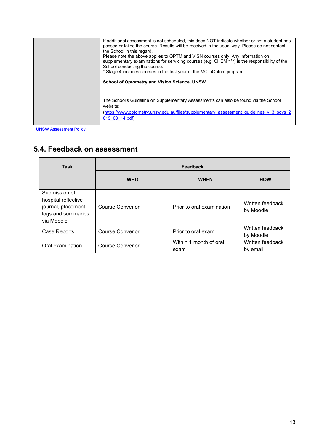| If additional assessment is not scheduled, this does NOT indicate whether or not a student has<br>passed or failed the course. Results will be received in the usual way. Please do not contact<br>the School in this regard.<br>Please note the above applies to OPTM and VISN courses only. Any information on<br>supplementary examinations for servicing courses (e.g. CHEM****) is the responsibility of the<br>School conducting the course.<br>* Stage 4 includes courses in the first year of the MClinOptom program.<br><b>School of Optometry and Vision Science, UNSW</b> |
|--------------------------------------------------------------------------------------------------------------------------------------------------------------------------------------------------------------------------------------------------------------------------------------------------------------------------------------------------------------------------------------------------------------------------------------------------------------------------------------------------------------------------------------------------------------------------------------|
| The School's Guideline on Supplementary Assessments can also be found via the School<br>website:<br>(https://www.optometry.unsw.edu.au/files/supplementary assessment quidelines v 3 sovs 2<br>$019$ 03 14.pdf)                                                                                                                                                                                                                                                                                                                                                                      |

1**UNSW Assessment Policy** 

## **5.4. Feedback on assessment**

| <b>Task</b>                                                                                    | Feedback               |                                |                               |  |
|------------------------------------------------------------------------------------------------|------------------------|--------------------------------|-------------------------------|--|
|                                                                                                | <b>WHO</b>             | <b>WHEN</b>                    | <b>HOW</b>                    |  |
| Submission of<br>hospital reflective<br>journal, placement<br>logs and summaries<br>via Moodle | Course Convenor        | Prior to oral examination      | Written feedback<br>by Moodle |  |
| Case Reports                                                                                   | <b>Course Convenor</b> | Prior to oral exam             | Written feedback<br>by Moodle |  |
| Oral examination                                                                               | <b>Course Convenor</b> | Within 1 month of oral<br>exam | Written feedback<br>by email  |  |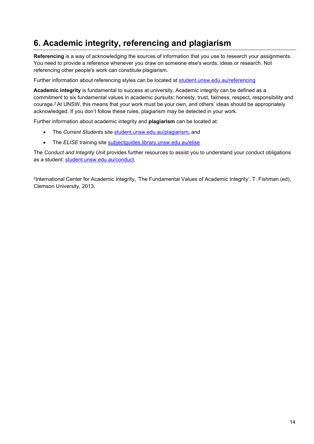## **6. Academic integrity, referencing and plagiarism**

**Referencing** is a way of acknowledging the sources of information that you use to research your assignments. You need to provide a reference whenever you draw on someone else's words, ideas or research. Not referencing other people's work can constitute plagiarism.

Further information about referencing styles can be located at [student.unsw.edu.au/referencing](https://student.unsw.edu.au/referencing)

**Academic integrity** is fundamental to success at university. Academic integrity can be defined as a commitment to six fundamental values in academic pursuits**:** honesty, trust, fairness, respect, responsibility and courage.2 At UNSW, this means that your work must be your own, and others' ideas should be appropriately acknowledged. If you don't follow these rules, plagiarism may be detected in your work.

Further information about academic integrity and **plagiarism** can be located at:

- The *Current Students* site [student.unsw.edu.au/plagiarism](https://student.unsw.edu.au/plagiarism)*,* and
- The *ELISE* training site [subjectguides.library.unsw.edu.au/elise](http://subjectguides.library.unsw.edu.au/elise)

The *Conduct and Integrity Unit* provides further resources to assist you to understand your conduct obligations as a student: [student.unsw.edu.au/conduct.](https://student.unsw.edu.au/conduct)

2International Center for Academic Integrity, 'The Fundamental Values of Academic Integrity', T. Fishman (ed), Clemson University, 2013.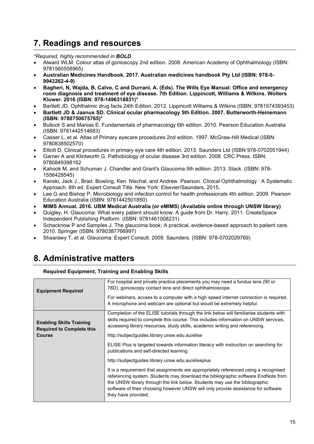#### **7. Readings and resources**

#### *\*Required, highly recommended in BOLD*

- Alward WLM. Colour atlas of gonioscopy 2nd edition. 2008. American Academy of Ophthalmology (ISBN: 9781560558965)
- **Australian Medicines Handbook. 2017. Australian medicines handbook Pty Ltd (ISBN: 978-0- 9943262-4-9)**
- **Bagheri, N, Wajda, B, Calvo, C and Durrani, A. (Eds). The Wills Eye Manual: Office and emergency room diagnosis and treatment of eye disease. 7th Edition. Lippincott, Williams & Wilkins. Wolters Kluwer. 2016 (ISBN: 978-1496318831)\***
- Bartlett JD. Ophthalmic drug facts 24th Edition. 2012. Lippincott Williams & Wilkins (ISBN: 9781574393453)
- **Bartlett JD & Jaanus SD. Clinical ocular pharmacology 5th Edition. 2007. Butterworth-Heinemann (ISBN: 9780750675765)\***
- Bullock S and Manias E. Fundamentals of pharmacology 6th edition. 2010. Pearson Education Australia (ISBN: 9781442514683)
- Casser L, et al. Atlas of Primary eyecare procedures 2nd edition. 1997. McGraw-Hill Medical (ISBN: 9780838502570)
- Elliott D. Clinical procedures in primary eye care 4th edition. 2013. Saunders Ltd (ISBN 978-0702051944)
- Garner A and Klintworth G. Pathobiology of ocular disease 3rd edition. 2008. CRC Press. ISBN: 9780849398162
- Kahook M, and Schuman J. Chandler and Grant's Glaucoma.5th edition. 2013. Slack. (ISBN: 978- 1556429545)
- Kanski, Jack J., Brad. Bowling, Ken. Nischal, and Andrew. Pearson. Clinical Ophthalmology : A Systematic Approach. 8th ed. Expert Consult Title. New York: Elsevier/Saunders, 2015.
- Lee G and Bishop P. Microbiology and infection control for health professionals 4th edition. 2009. Pearson Education Australia (ISBN: 9781442501850)
- **MIMS Annual. 2016. UBM Medical Australia (or eMIMS) (Available online through UNSW library)**
- Quigley, H. Glaucoma: What every patient should know: A guide from Dr. Harry. 2011. CreateSpace Independent Publishing Platform. (ISBN: 9781461008231)
- Schacknow P and Samples J. The glaucoma book: A practical, evidence-based approach to patient care. 2010. Springer (ISBN: 9780387766997)
- Shaarawy T, et al. Glaucoma: Expert Consult. 2009. Saunders. (ISBN: 978-0702029769)

## **8. Administrative matters**

#### **Required Equipment, Training and Enabling Skills**

| <b>Equipment Required</b>                                                            | For hospital and private practice placements you may need a fundus lens (90 or<br>78D), gonioscopy contact lens and direct ophthalmoscope.                                                                                                                                                                                                                           |  |
|--------------------------------------------------------------------------------------|----------------------------------------------------------------------------------------------------------------------------------------------------------------------------------------------------------------------------------------------------------------------------------------------------------------------------------------------------------------------|--|
|                                                                                      | For webinars, access to a computer with a high speed internet connection is required.<br>A microphone and webcam are optional but would be extremely helpful.                                                                                                                                                                                                        |  |
| <b>Enabling Skills Training</b><br><b>Required to Complete this</b><br><b>Course</b> | Completion of the ELISE tutorials through the link below will familiarise students with<br>skills required to complete this course. This includes information on UNSW services,<br>accessing library resources, study skills, academic writing and referencing.                                                                                                      |  |
|                                                                                      | http://subjectguides.library.unsw.edu.au/elise                                                                                                                                                                                                                                                                                                                       |  |
|                                                                                      | ELISE Plus is targeted towards information literacy with instruction on searching for<br>publications and self-directed learning.                                                                                                                                                                                                                                    |  |
|                                                                                      | http://subjectguides.library.unsw.edu.au/eliseplus                                                                                                                                                                                                                                                                                                                   |  |
|                                                                                      | It is a requirement that assignments are appropriately referenced using a recognised<br>referencing system. Students may download the bibliographic software EndNote from<br>the UNSW library through the link below. Students may use the bibliographic<br>software of their choosing however UNSW will only provide assistance for software<br>they have provided. |  |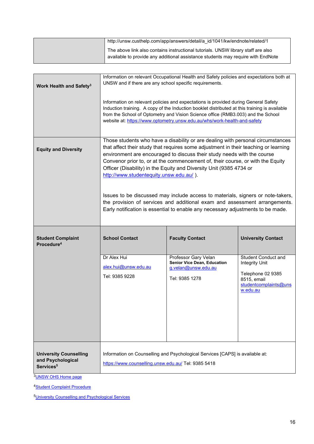| http://unsw.custhelp.com/app/answers/detail/a id/1041/kw/endnote/related/1                                                                                            |
|-----------------------------------------------------------------------------------------------------------------------------------------------------------------------|
| The above link also contains instructional tutorials. UNSW library staff are also<br>available to provide any additional assistance students may require with EndNote |

| Work Health and Safety <sup>3</sup>                | Information on relevant Occupational Health and Safety policies and expectations both at<br>UNSW and if there are any school specific requirements.                                                                                                                                                                                                                                                                                                                                                                                                                                                                                                                                                       |                                                                                                     |                                                                                                                       |  |
|----------------------------------------------------|-----------------------------------------------------------------------------------------------------------------------------------------------------------------------------------------------------------------------------------------------------------------------------------------------------------------------------------------------------------------------------------------------------------------------------------------------------------------------------------------------------------------------------------------------------------------------------------------------------------------------------------------------------------------------------------------------------------|-----------------------------------------------------------------------------------------------------|-----------------------------------------------------------------------------------------------------------------------|--|
|                                                    | Information on relevant policies and expectations is provided during General Safety<br>Induction training. A copy of the Induction booklet distributed at this training is available<br>from the School of Optometry and Vision Science office (RMB3.003) and the School<br>website at: https://www.optometry.unsw.edu.au/whs/work-health-and-safety                                                                                                                                                                                                                                                                                                                                                      |                                                                                                     |                                                                                                                       |  |
| <b>Equity and Diversity</b>                        | Those students who have a disability or are dealing with personal circumstances<br>that affect their study that requires some adjustment in their teaching or learning<br>environment are encouraged to discuss their study needs with the course<br>Convenor prior to, or at the commencement of, their course, or with the Equity<br>Officer (Disability) in the Equity and Diversity Unit (9385 4734 or<br>http://www.studentequity.unsw.edu.au/).<br>Issues to be discussed may include access to materials, signers or note-takers,<br>the provision of services and additional exam and assessment arrangements.<br>Early notification is essential to enable any necessary adjustments to be made. |                                                                                                     |                                                                                                                       |  |
| <b>Student Complaint</b><br>Procedure <sup>4</sup> | <b>School Contact</b>                                                                                                                                                                                                                                                                                                                                                                                                                                                                                                                                                                                                                                                                                     | <b>Faculty Contact</b>                                                                              | <b>University Contact</b>                                                                                             |  |
|                                                    |                                                                                                                                                                                                                                                                                                                                                                                                                                                                                                                                                                                                                                                                                                           |                                                                                                     |                                                                                                                       |  |
|                                                    | Dr Alex Hui<br>alex.hui@unsw.edu.au<br>Tel: 9385 9228                                                                                                                                                                                                                                                                                                                                                                                                                                                                                                                                                                                                                                                     | Professor Gary Velan<br><b>Senior Vice Dean, Education</b><br>g.velan@unsw.edu.au<br>Tel: 9385 1278 | <b>Student Conduct and</b><br>Integrity Unit<br>Telephone 02 9385<br>8515, email<br>studentcomplaints@uns<br>w.edu.au |  |

4**Student Complaint Procedure** 

[5University Counselling and Psychological Services](http://www.counselling.unsw.edu.au/)